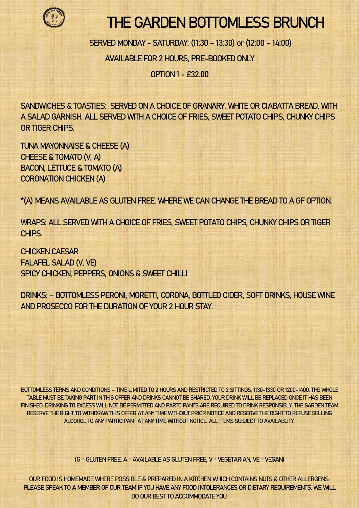

## THE GARDEN BOTTOMLESS BRUNCH

SERVED MONDAY - SATURDAY: (11:30 – 13:30) or (12:00 – 14:00)

AVAILABLE FOR 2 HOURS, PRE-BOOKED ONLY

OPTION 1 - £32.00

SANDWICHES & TOASTIES: SERVED ON A CHOICE OF GRANARY, WHITE OR CIABATTA BREAD, WITH A SALAD GARNISH. ALL SERVED WITH A CHOICE OF FRIES, SWEET POTATO CHIPS, CHUNKY CHIPS OR TIGER CHIPS.

TUNA MAYONNAISE & CHEESE (A) CHEESE & TOMATO (V, A) BACON, LETTUCE & TOMATO (A) CORONATION CHICKEN (A)

\*(A) MEANS AVAILABLE AS GLUTEN FREE, WHERE WE CAN CHANGE THE BREAD TO A GF OPTION.

WRAPS: ALL SERVED WITH A CHOICE OF FRIES, SWEET POTATO CHIPS, CHUNKY CHIPS OR TIGER CHIPS.

CHICKEN CAESAR FALAFEL SALAD (V, VE) SPICY CHICKEN, PEPPERS, ONIONS & SWEET CHILLI

DRINKS: – BOTTOMLESS PERONI, MORETTI, CORONA, BOTTLED CIDER, SOFT DRINKS, HOUSE WINE AND PROSECCO FOR THE DURATION OF YOUR 2 HOUR STAY.

BOTTOMLESS TERMS AND CONDITIONS – TIME LIMITED TO 2 HOURS AND RESTRICTED TO 2 SITTINGS, 1130-1330 OR 1200-1400. THE WHOLE TABLE MUST BE TAKING PART IN THIS OFFER AND DRINKS CANNOT BE SHARED. YOUR DRINK WILL BE REPLACED ONCE IT HAS BEEN FINISHED. DRINKING TO EXCESS WILL NOT BE PERMITTED AND PARTCIPANTS ARE REQUIRED TO DRINK RESPONSIBLY. THE GARDEN TEAM RESERVE THE RIGHT TO WITHDRAW THIS OFFER AT ANY TIME WITHOIUT PRIOR NOTICE AND RESERVE THE RIGHT TO REFUSE SELLING ALCOHOL TO ANY PARTICIPANT AT ANY TIME WITHOUT NOTICE. ALL ITEMS SUBJECT TO AVAILABLITY.

(G = GLUTEN FREE, A = AVAILABLE AS GLUTEN FREE, V = VEGETARIAN, VE = VEGAN)

OUR FOOD IS HOMEMADE WHERE POSSIBLE & PREPARED IN A KITCHEN WHICH CONTAINS NUTS & OTHER ALLERGENS. PLEASE SPEAK TO A MEMBER OF OUR TEAM IF YOU HAVE ANY FOOD INTOLERANCES OR DIETARY REQUIREMENTS. WE WILL DO OUR BEST TO ACCOMMODATE YOU.